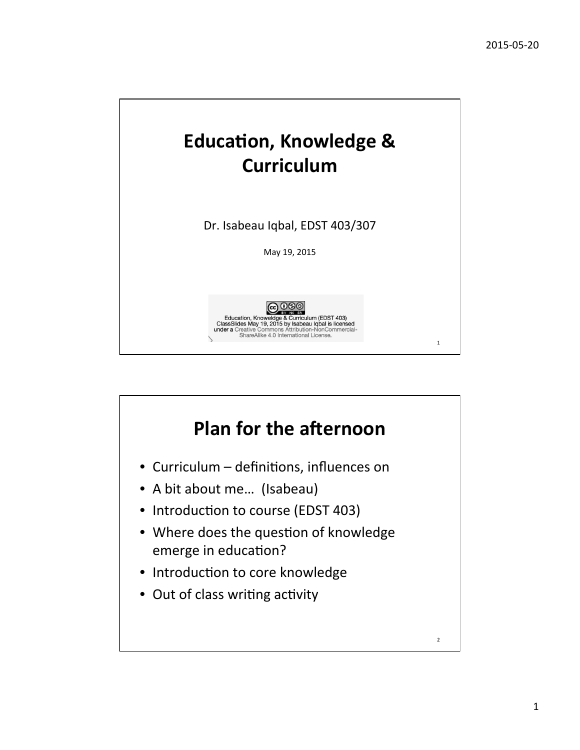

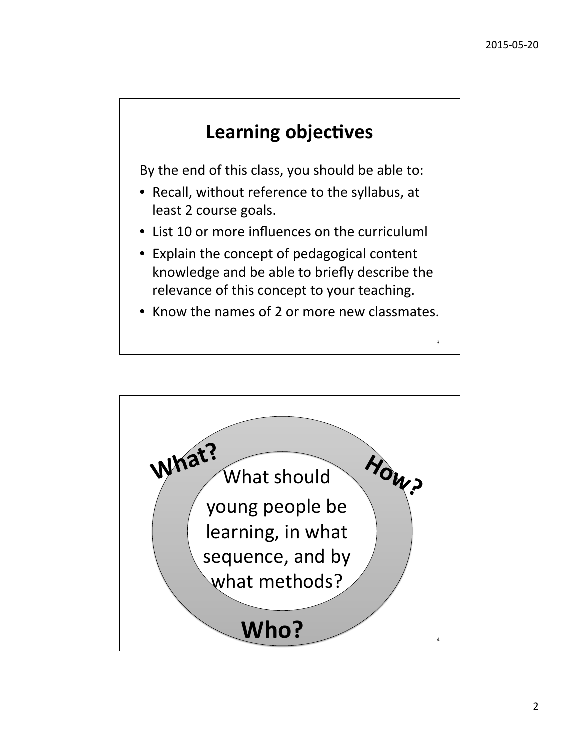3 

# **Learning objectives**

By the end of this class, you should be able to:

- Recall, without reference to the syllabus, at least 2 course goals.
- List 10 or more influences on the curriculuml
- Explain the concept of pedagogical content knowledge and be able to briefly describe the relevance of this concept to your teaching.
- Know the names of 2 or more new classmates.

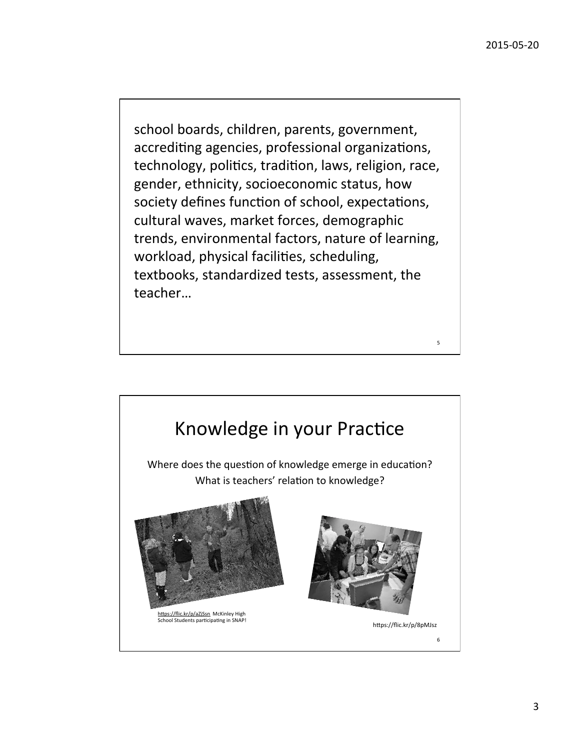5 

school boards, children, parents, government, accrediting agencies, professional organizations, technology, politics, tradition, laws, religion, race, gender, ethnicity, socioeconomic status, how society defines function of school, expectations, cultural waves, market forces, demographic trends, environmental factors, nature of learning, workload, physical facilities, scheduling, textbooks, standardized tests, assessment, the teacher…

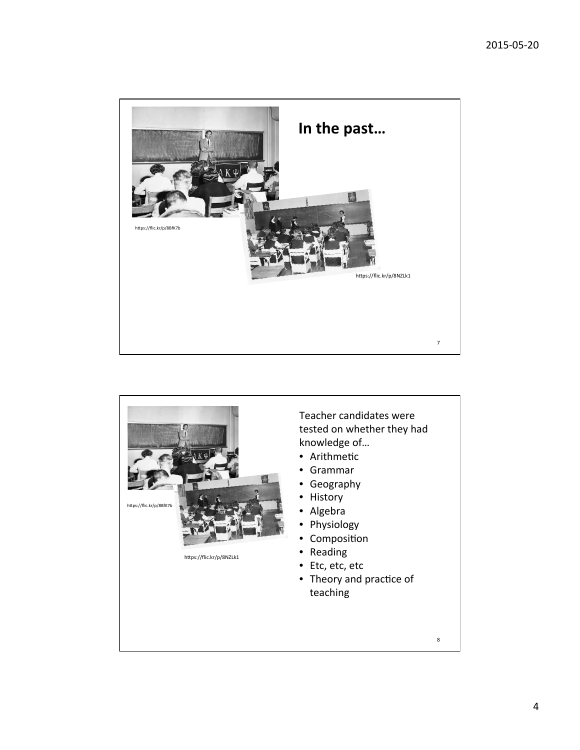

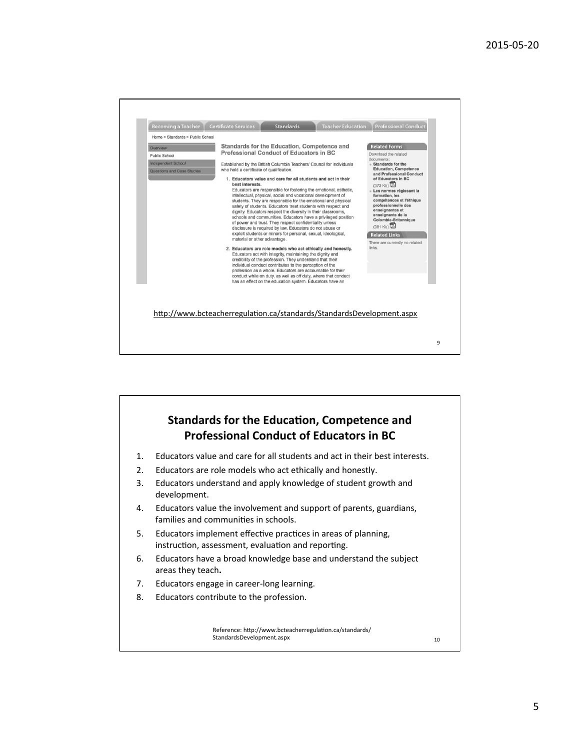

#### **Standards for the Education, Competence and Professional Conduct of Educators in BC** 1. Educators value and care for all students and act in their best interests. 2. Educators are role models who act ethically and honestly. 3. Educators understand and apply knowledge of student growth and development. 4. Educators value the involvement and support of parents, guardians, families and communities in schools. 5. Educators implement effective practices in areas of planning, instruction, assessment, evaluation and reporting. 6. Educators have a broad knowledge base and understand the subject areas they teach. 7. Educators engage in career-long learning. 8. Educators contribute to the profession. 10 Reference: http://www.bcteacherregulation.ca/standards/ StandardsDevelopment.aspx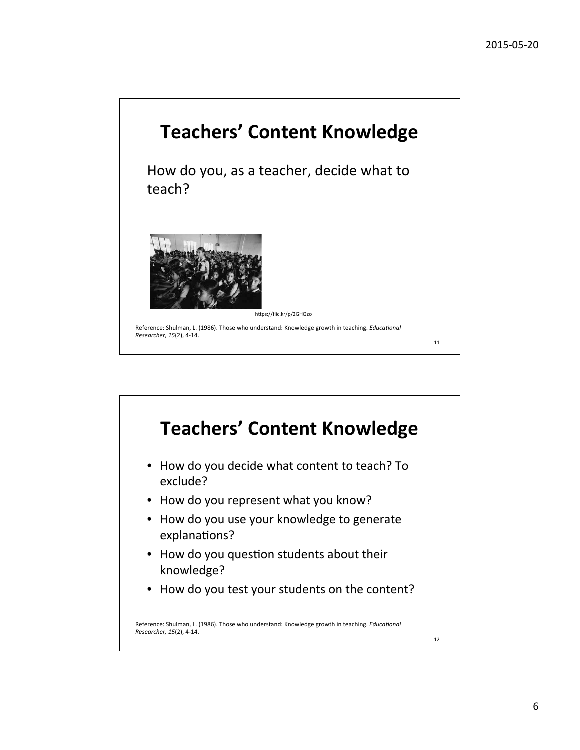

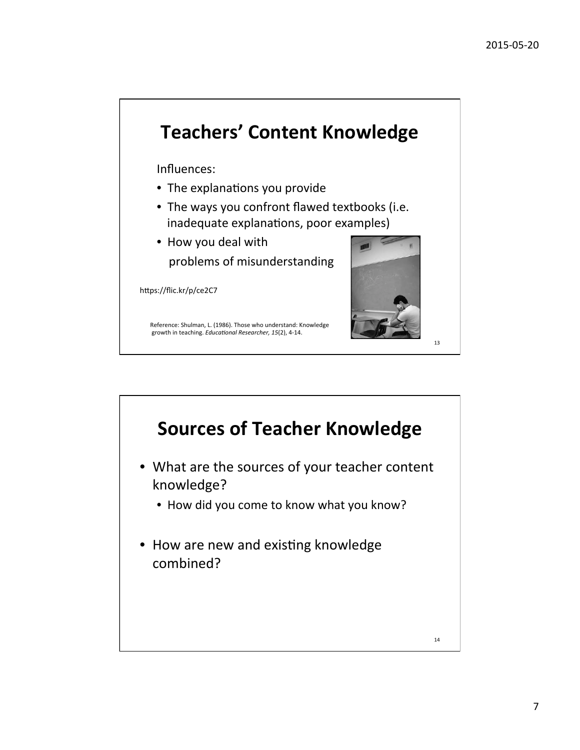

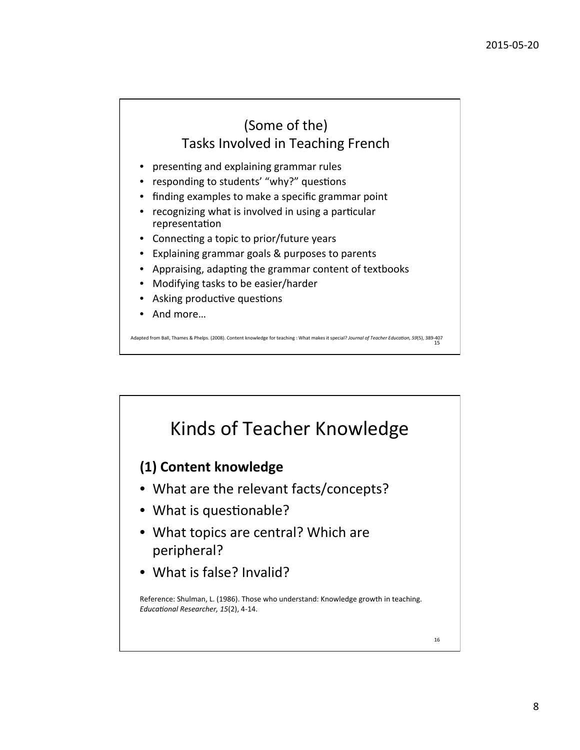## (Some of the) Tasks Involved in Teaching French

- presenting and explaining grammar rules
- responding to students' "why?" questions
- finding examples to make a specific grammar point
- recognizing what is involved in using a particular representation
- Connecting a topic to prior/future years
- Explaining grammar goals & purposes to parents
- Appraising, adapting the grammar content of textbooks
- Modifying tasks to be easier/harder
- Asking productive questions
- And more...

Adapted from Ball, Thames & Phelps. (2008). Content knowledge for teaching : What makes it special? Journal of Teacher Education, 59(5), 389-407 15 

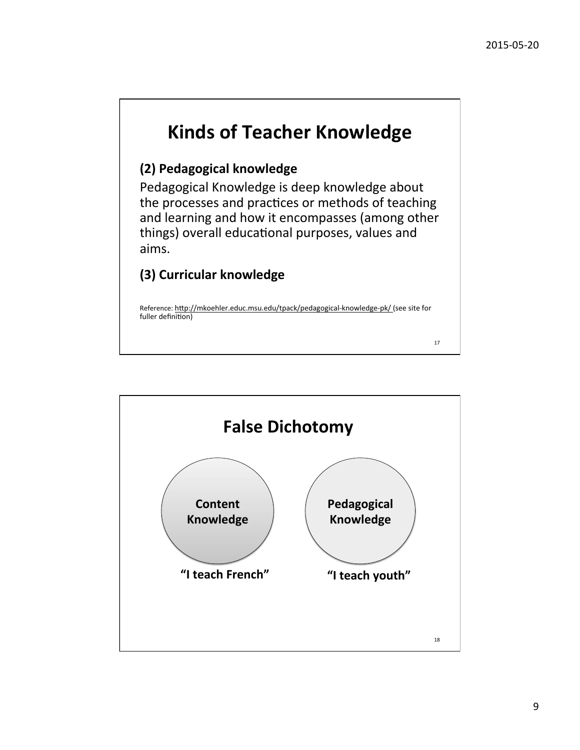# **Kinds of Teacher Knowledge**

### **(2) Pedagogical knowledge**

Pedagogical Knowledge is deep knowledge about the processes and practices or methods of teaching and learning and how it encompasses (among other things) overall educational purposes, values and aims. 

### **(3) Curricular knowledge**

Reference: http://mkoehler.educ.msu.edu/tpack/pedagogical-knowledge-pk/ (see site for fuller definition)

17 

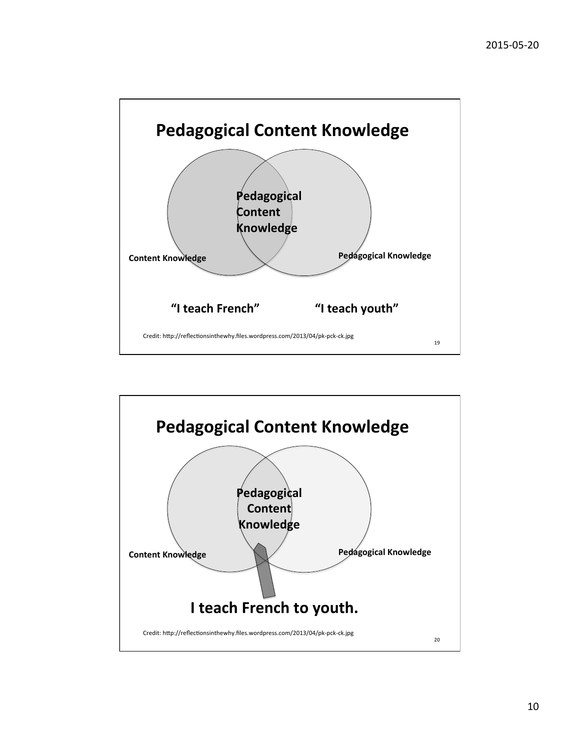

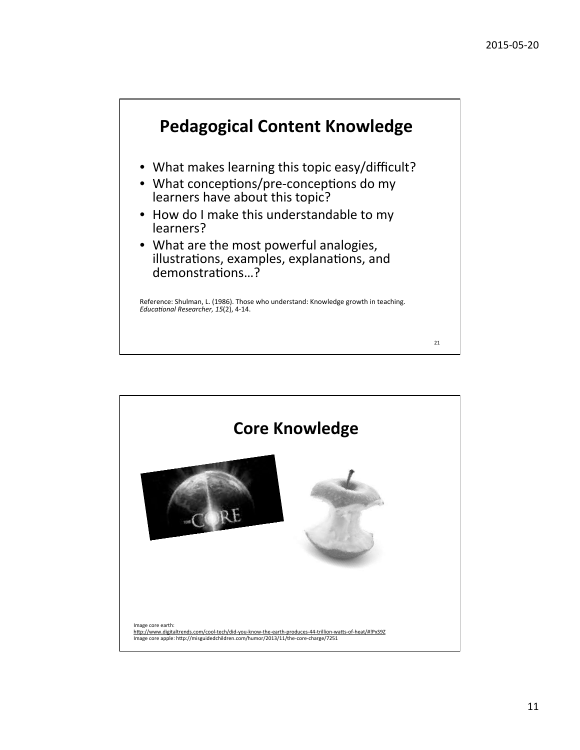